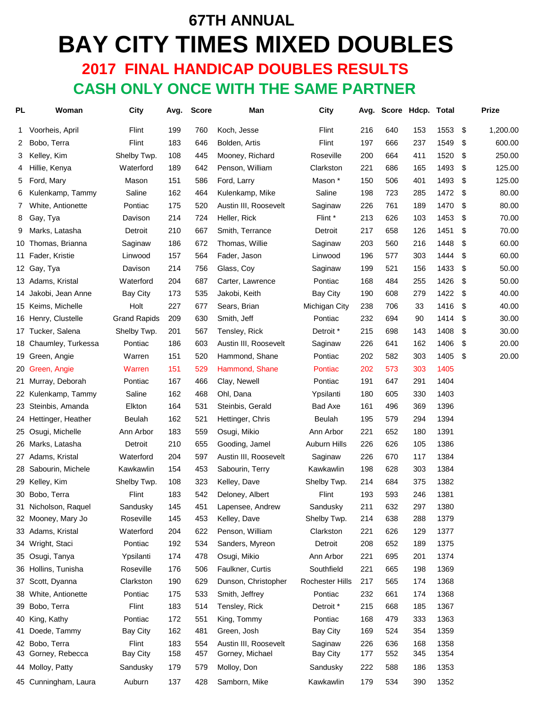# **67TH ANNUAL BAY CITY TIMES MIXED DOUBLES 2017 FINAL HANDICAP DOUBLES RESULTS**

 **CASH ONLY ONCE WITH THE SAME PARTNER**

| <b>PL</b> | Woman                 | City                | Avg. | <b>Score</b> | Man                   | City                   | Avg. |     | Score Hdcp. Total |      |     | <b>Prize</b> |
|-----------|-----------------------|---------------------|------|--------------|-----------------------|------------------------|------|-----|-------------------|------|-----|--------------|
| 1         | Voorheis, April       | Flint               | 199  | 760          | Koch, Jesse           | Flint                  | 216  | 640 | 153               | 1553 | \$  | 1,200.00     |
| 2         | Bobo, Terra           | Flint               | 183  | 646          | Bolden, Artis         | Flint                  | 197  | 666 | 237               | 1549 | \$  | 600.00       |
| 3         | Kelley, Kim           | Shelby Twp.         | 108  | 445          | Mooney, Richard       | Roseville              | 200  | 664 | 411               | 1520 | -\$ | 250.00       |
| 4         | Hillie, Kenya         | Waterford           | 189  | 642          | Penson, William       | Clarkston              | 221  | 686 | 165               | 1493 | \$  | 125.00       |
| 5         | Ford, Mary            | Mason               | 151  | 586          | Ford, Larry           | Mason *                | 150  | 506 | 401               | 1493 | \$  | 125.00       |
| 6         | Kulenkamp, Tammy      | Saline              | 162  | 464          | Kulenkamp, Mike       | Saline                 | 198  | 723 | 285               | 1472 | \$  | 80.00        |
| 7         | White, Antionette     | Pontiac             | 175  | 520          | Austin III, Roosevelt | Saginaw                | 226  | 761 | 189               | 1470 | \$  | 80.00        |
| 8         | Gay, Tya              | Davison             | 214  | 724          | Heller, Rick          | Flint *                | 213  | 626 | 103               | 1453 | \$  | 70.00        |
| 9         | Marks, Latasha        | Detroit             | 210  | 667          | Smith, Terrance       | Detroit                | 217  | 658 | 126               | 1451 | \$  | 70.00        |
| 10        | Thomas, Brianna       | Saginaw             | 186  | 672          | Thomas, Willie        | Saginaw                | 203  | 560 | 216               | 1448 | \$  | 60.00        |
| 11        | Fader, Kristie        | Linwood             | 157  | 564          | Fader, Jason          | Linwood                | 196  | 577 | 303               | 1444 | \$  | 60.00        |
|           | 12 Gay, Tya           | Davison             | 214  | 756          | Glass, Coy            | Saginaw                | 199  | 521 | 156               | 1433 | \$  | 50.00        |
|           | 13 Adams, Kristal     | Waterford           | 204  | 687          | Carter, Lawrence      | Pontiac                | 168  | 484 | 255               | 1426 | \$  | 50.00        |
| 14        | Jakobi, Jean Anne     | <b>Bay City</b>     | 173  | 535          | Jakobi, Keith         | Bay City               | 190  | 608 | 279               | 1422 | \$  | 40.00        |
|           | 15 Keims, Michelle    | Holt                | 227  | 677          | Sears, Brian          | <b>Michigan City</b>   | 238  | 706 | 33                | 1416 | \$  | 40.00        |
|           | 16 Henry, Clustelle   | <b>Grand Rapids</b> | 209  | 630          | Smith, Jeff           | Pontiac                | 232  | 694 | 90                | 1414 | \$  | 30.00        |
| 17        | Tucker, Salena        | Shelby Twp.         | 201  | 567          | Tensley, Rick         | Detroit *              | 215  | 698 | 143               | 1408 | \$  | 30.00        |
|           | 18 Chaumley, Turkessa | Pontiac             | 186  | 603          | Austin III, Roosevelt | Saginaw                | 226  | 641 | 162               | 1406 | \$  | 20.00        |
| 19        | Green, Angie          | Warren              | 151  | 520          | Hammond, Shane        | Pontiac                | 202  | 582 | 303               | 1405 | \$  | 20.00        |
| 20        | Green, Angie          | Warren              | 151  | 529          | Hammond, Shane        | Pontiac                | 202  | 573 | 303               | 1405 |     |              |
|           | 21 Murray, Deborah    | Pontiac             | 167  | 466          | Clay, Newell          | Pontiac                | 191  | 647 | 291               | 1404 |     |              |
|           | 22 Kulenkamp, Tammy   | Saline              | 162  | 468          | Ohl, Dana             | Ypsilanti              | 180  | 605 | 330               | 1403 |     |              |
| 23        | Steinbis, Amanda      | Elkton              | 164  | 531          | Steinbis, Gerald      | Bad Axe                | 161  | 496 | 369               | 1396 |     |              |
|           | 24 Hettinger, Heather | Beulah              | 162  | 521          | Hettinger, Chris      | <b>Beulah</b>          | 195  | 579 | 294               | 1394 |     |              |
| 25        | Osugi, Michelle       | Ann Arbor           | 183  | 559          | Osugi, Mikio          | Ann Arbor              | 221  | 652 | 180               | 1391 |     |              |
|           | 26 Marks, Latasha     | Detroit             | 210  | 655          | Gooding, Jamel        | <b>Auburn Hills</b>    | 226  | 626 | 105               | 1386 |     |              |
|           | 27 Adams, Kristal     | Waterford           | 204  | 597          | Austin III, Roosevelt | Saginaw                | 226  | 670 | 117               | 1384 |     |              |
| 28        | Sabourin, Michele     | Kawkawlin           | 154  | 453          | Sabourin, Terry       | Kawkawlin              | 198  | 628 | 303               | 1384 |     |              |
|           | 29 Kelley, Kim        | Shelby Twp.         | 108  | 323          | Kelley, Dave          | Shelby Twp.            | 214  | 684 | 375               | 1382 |     |              |
|           | 30 Bobo, Terra        | Flint               | 183  | 542          | Deloney, Albert       | Flint                  | 193  | 593 | 246               | 1381 |     |              |
|           | 31 Nicholson, Raquel  | Sandusky            | 145  | 451          | Lapensee, Andrew      | Sandusky               | 211  | 632 | 297               | 1380 |     |              |
|           | 32 Mooney, Mary Jo    | Roseville           | 145  | 453          | Kelley, Dave          | Shelby Twp.            | 214  | 638 | 288               | 1379 |     |              |
|           | 33 Adams, Kristal     | Waterford           | 204  | 622          | Penson, William       | Clarkston              | 221  | 626 | 129               | 1377 |     |              |
|           | 34 Wright, Staci      | Pontiac             | 192  | 534          | Sanders, Myreon       | Detroit                | 208  | 652 | 189               | 1375 |     |              |
|           | 35 Osugi, Tanya       | Ypsilanti           | 174  | 478          | Osugi, Mikio          | Ann Arbor              | 221  | 695 | 201               | 1374 |     |              |
|           | 36 Hollins, Tunisha   | Roseville           | 176  | 506          | Faulkner, Curtis      | Southfield             | 221  | 665 | 198               | 1369 |     |              |
|           | 37 Scott, Dyanna      | Clarkston           | 190  | 629          | Dunson, Christopher   | <b>Rochester Hills</b> | 217  | 565 | 174               | 1368 |     |              |
| 38        | White, Antionette     | Pontiac             | 175  | 533          | Smith, Jeffrey        | Pontiac                | 232  | 661 | 174               | 1368 |     |              |
|           | 39 Bobo, Terra        | Flint               | 183  | 514          | Tensley, Rick         | Detroit *              | 215  | 668 | 185               | 1367 |     |              |
| 40        | King, Kathy           | Pontiac             | 172  | 551          | King, Tommy           | Pontiac                | 168  | 479 | 333               | 1363 |     |              |
| 41        | Doede, Tammy          | Bay City            | 162  | 481          | Green, Josh           | Bay City               | 169  | 524 | 354               | 1359 |     |              |
| 42        | Bobo, Terra           | Flint               | 183  | 554          | Austin III, Roosevelt | Saginaw                | 226  | 636 | 168               | 1358 |     |              |
| 43        | Gorney, Rebecca       | <b>Bay City</b>     | 158  | 457          | Gorney, Michael       | <b>Bay City</b>        | 177  | 552 | 345               | 1354 |     |              |
|           | 44 Molloy, Patty      | Sandusky            | 179  | 579          | Molloy, Don           | Sandusky               | 222  | 588 | 186               | 1353 |     |              |
|           | 45 Cunningham, Laura  | Auburn              | 137  | 428          | Samborn, Mike         | Kawkawlin              | 179  | 534 | 390               | 1352 |     |              |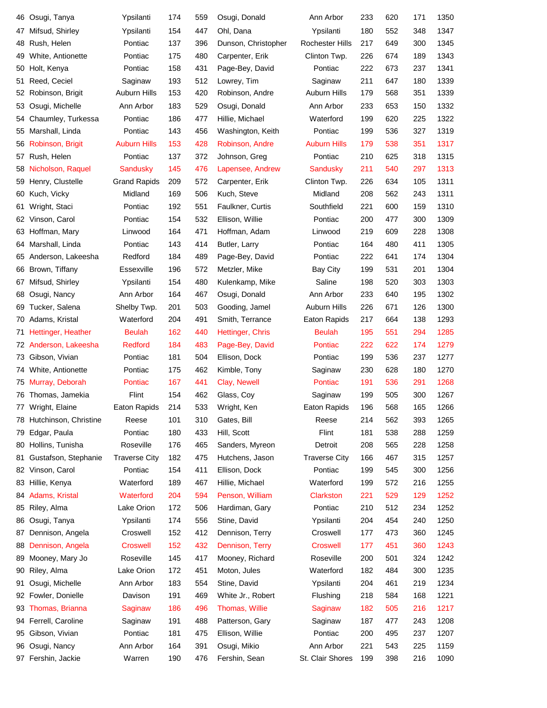| 46 | Osugi, Tanya          | Ypsilanti            | 174 | 559 | Osugi, Donald       | Ann Arbor            | 233 | 620 | 171 | 1350 |
|----|-----------------------|----------------------|-----|-----|---------------------|----------------------|-----|-----|-----|------|
| 47 | Mifsud, Shirley       | Ypsilanti            | 154 | 447 | Ohl, Dana           | Ypsilanti            | 180 | 552 | 348 | 1347 |
| 48 | Rush, Helen           | Pontiac              | 137 | 396 | Dunson, Christopher | Rochester Hills      | 217 | 649 | 300 | 1345 |
| 49 | White, Antionette     | Pontiac              | 175 | 480 | Carpenter, Erik     | Clinton Twp.         | 226 | 674 | 189 | 1343 |
| 50 | Holt, Kenya           | Pontiac              | 158 | 431 | Page-Bey, David     | Pontiac              | 222 | 673 | 237 | 1341 |
| 51 | Reed, Ceciel          | Saginaw              | 193 | 512 | Lowrey, Tim         | Saginaw              | 211 | 647 | 180 | 1339 |
| 52 | Robinson, Brigit      | Auburn Hills         | 153 | 420 | Robinson, Andre     | Auburn Hills         | 179 | 568 | 351 | 1339 |
| 53 | Osugi, Michelle       | Ann Arbor            | 183 | 529 | Osugi, Donald       | Ann Arbor            | 233 | 653 | 150 | 1332 |
| 54 | Chaumley, Turkessa    | Pontiac              | 186 | 477 | Hillie, Michael     | Waterford            | 199 | 620 | 225 | 1322 |
| 55 | Marshall, Linda       | Pontiac              | 143 | 456 | Washington, Keith   | Pontiac              | 199 | 536 | 327 | 1319 |
| 56 | Robinson, Brigit      | <b>Auburn Hills</b>  | 153 | 428 | Robinson, Andre     | <b>Auburn Hills</b>  | 179 | 538 | 351 | 1317 |
| 57 | Rush, Helen           | Pontiac              | 137 | 372 | Johnson, Greg       | Pontiac              | 210 | 625 | 318 | 1315 |
| 58 | Nicholson, Raquel     | Sandusky             | 145 | 476 | Lapensee, Andrew    | <b>Sandusky</b>      | 211 | 540 | 297 | 1313 |
| 59 | Henry, Clustelle      | <b>Grand Rapids</b>  | 209 | 572 | Carpenter, Erik     | Clinton Twp.         | 226 | 634 | 105 | 1311 |
| 60 | Kuch, Vicky           | Midland              | 169 | 506 | Kuch, Steve         | Midland              | 208 | 562 | 243 | 1311 |
| 61 | Wright, Staci         | Pontiac              | 192 | 551 | Faulkner, Curtis    | Southfield           | 221 | 600 | 159 | 1310 |
| 62 | Vinson, Carol         | Pontiac              | 154 | 532 | Ellison, Willie     | Pontiac              | 200 | 477 | 300 | 1309 |
| 63 | Hoffman, Mary         | Linwood              | 164 | 471 | Hoffman, Adam       | Linwood              | 219 | 609 | 228 | 1308 |
| 64 | Marshall, Linda       | Pontiac              | 143 | 414 | Butler, Larry       | Pontiac              | 164 | 480 | 411 | 1305 |
| 65 | Anderson, Lakeesha    | Redford              | 184 | 489 | Page-Bey, David     | Pontiac              | 222 | 641 | 174 | 1304 |
| 66 | Brown, Tiffany        | Essexville           | 196 | 572 | Metzler, Mike       | <b>Bay City</b>      | 199 | 531 | 201 | 1304 |
| 67 | Mifsud, Shirley       | Ypsilanti            | 154 | 480 | Kulenkamp, Mike     | Saline               | 198 | 520 | 303 | 1303 |
| 68 | Osugi, Nancy          | Ann Arbor            | 164 | 467 | Osugi, Donald       | Ann Arbor            | 233 | 640 | 195 | 1302 |
| 69 | Tucker, Salena        | Shelby Twp.          | 201 | 503 | Gooding, Jamel      | Auburn Hills         | 226 | 671 | 126 | 1300 |
| 70 | Adams, Kristal        | Waterford            | 204 | 491 | Smith, Terrance     | Eaton Rapids         | 217 | 664 | 138 | 1293 |
| 71 | Hettinger, Heather    | <b>Beulah</b>        | 162 | 440 | Hettinger, Chris    | <b>Beulah</b>        | 195 | 551 | 294 | 1285 |
| 72 | Anderson, Lakeesha    | <b>Redford</b>       | 184 | 483 | Page-Bey, David     | Pontiac              | 222 | 622 | 174 | 1279 |
| 73 | Gibson, Vivian        | Pontiac              | 181 | 504 | Ellison, Dock       | Pontiac              | 199 | 536 | 237 | 1277 |
| 74 | White, Antionette     | Pontiac              | 175 | 462 | Kimble, Tony        | Saginaw              | 230 | 628 | 180 | 1270 |
| 75 | Murray, Deborah       | Pontiac              | 167 | 441 | Clay, Newell        | Pontiac              | 191 | 536 | 291 | 1268 |
| 76 | Thomas, Jamekia       | Flint                | 154 | 462 | Glass, Coy          | Saginaw              | 199 | 505 | 300 | 1267 |
| 77 | Wright, Elaine        | Eaton Rapids         | 214 | 533 | Wright, Ken         | Eaton Rapids         | 196 | 568 | 165 | 1266 |
| 78 | Hutchinson, Christine | Reese                | 101 | 310 | Gates, Bill         | Reese                | 214 | 562 | 393 | 1265 |
| 79 | Edgar, Paula          | Pontiac              | 180 | 433 | Hill, Scott         | Flint                | 181 | 538 | 288 | 1259 |
| 80 | Hollins, Tunisha      | Roseville            | 176 | 465 | Sanders, Myreon     | Detroit              | 208 | 565 | 228 | 1258 |
| 81 | Gustafson, Stephanie  | <b>Traverse City</b> | 182 | 475 | Hutchens, Jason     | <b>Traverse City</b> | 166 | 467 | 315 | 1257 |
| 82 | Vinson, Carol         | Pontiac              | 154 | 411 | Ellison, Dock       | Pontiac              | 199 | 545 | 300 | 1256 |
| 83 | Hillie, Kenya         | Waterford            | 189 | 467 | Hillie, Michael     | Waterford            | 199 | 572 | 216 | 1255 |
| 84 | Adams, Kristal        | Waterford            | 204 | 594 | Penson, William     | Clarkston            | 221 | 529 | 129 | 1252 |
| 85 | Riley, Alma           | Lake Orion           | 172 | 506 | Hardiman, Gary      | Pontiac              | 210 | 512 | 234 | 1252 |
| 86 | Osugi, Tanya          | Ypsilanti            | 174 | 556 | Stine, David        | Ypsilanti            | 204 | 454 | 240 | 1250 |
| 87 | Dennison, Angela      | Croswell             | 152 | 412 | Dennison, Terry     | Croswell             | 177 | 473 | 360 | 1245 |
| 88 | Dennison, Angela      | <b>Croswell</b>      | 152 | 432 | Dennison, Terry     | <b>Croswell</b>      | 177 | 451 | 360 | 1243 |
| 89 | Mooney, Mary Jo       | Roseville            | 145 | 417 | Mooney, Richard     | Roseville            | 200 | 501 | 324 | 1242 |
| 90 | Riley, Alma           | Lake Orion           | 172 | 451 | Moton, Jules        | Waterford            | 182 | 484 | 300 | 1235 |
| 91 | Osugi, Michelle       | Ann Arbor            | 183 | 554 | Stine, David        | Ypsilanti            | 204 | 461 | 219 | 1234 |
| 92 | Fowler, Donielle      | Davison              | 191 | 469 | White Jr., Robert   | Flushing             | 218 | 584 | 168 | 1221 |
| 93 | Thomas, Brianna       | Saginaw              | 186 | 496 | Thomas, Willie      | Saginaw              | 182 | 505 | 216 | 1217 |
| 94 | Ferrell, Caroline     | Saginaw              | 191 | 488 | Patterson, Gary     | Saginaw              | 187 | 477 | 243 | 1208 |
| 95 | Gibson, Vivian        | Pontiac              | 181 | 475 | Ellison, Willie     | Pontiac              | 200 | 495 | 237 | 1207 |
| 96 | Osugi, Nancy          | Ann Arbor            | 164 | 391 | Osugi, Mikio        | Ann Arbor            | 221 | 543 | 225 | 1159 |
|    | 97 Fershin, Jackie    | Warren               | 190 | 476 | Fershin, Sean       | St. Clair Shores     | 199 | 398 | 216 | 1090 |
|    |                       |                      |     |     |                     |                      |     |     |     |      |